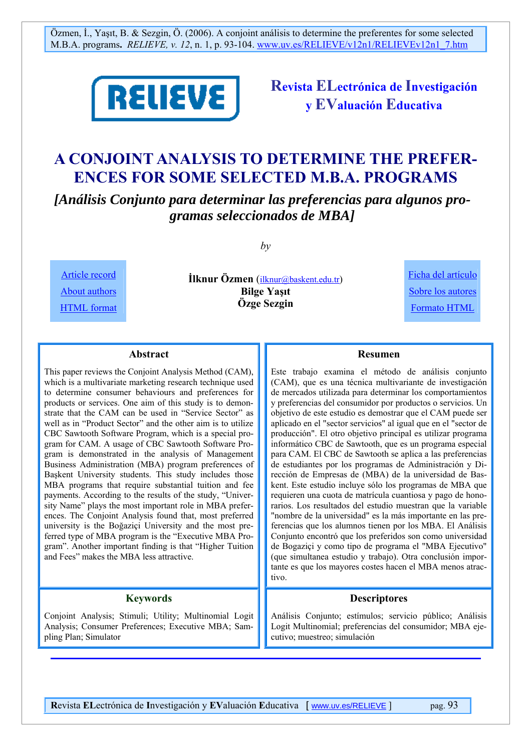

# **Revista ELectrónica de Investigación y EValuación Educativa**

# **A CONJOINT ANALYSIS TO DETERMINE THE PREFER-ENCES FOR SOME SELECTED M.B.A. PROGRAMS**

*[Análisis Conjunto para determinar las preferencias para algunos programas seleccionados de MBA]* 

*by* 

[Article record](#page-10-0) [Ficha del artículo](#page-10-0) **İlknur Özmen** [\(ilknur@baskent.edu.tr](mailto:ilknur@baskent.edu.tr)) [About authors](#page-9-0) **Bilge Yasıt Özge Sezgin** [HTML format](http://www.uv.es/RELIEVE/v12n1/RELIEVEv12n1_7.htm)

[Sobre los autores](#page-9-0) [Formato HTML](http://www.uv.es/RELIEVE/v12n1/RELIEVEv12n1_7.htm)

#### **Abstract**

This paper reviews the Conjoint Analysis Method (CAM), which is a multivariate marketing research technique used to determine consumer behaviours and preferences for products or services. One aim of this study is to demonstrate that the CAM can be used in "Service Sector" as well as in "Product Sector" and the other aim is to utilize CBC Sawtooth Software Program, which is a special program for CAM. A usage of CBC Sawtooth Software Program is demonstrated in the analysis of Management Business Administration (MBA) program preferences of Başkent University students. This study includes those MBA programs that require substantial tuition and fee payments. According to the results of the study, "University Name" plays the most important role in MBA preferences. The Conjoint Analysis found that, most preferred university is the Boğaziçi University and the most preferred type of MBA program is the "Executive MBA Program". Another important finding is that "Higher Tuition and Fees" makes the MBA less attractive.

#### **Keywords**

Conjoint Analysis; Stimuli; Utility; Multinomial Logit Analysis; Consumer Preferences; Executive MBA; Sampling Plan; Simulator

#### **Resumen**

Este trabajo examina el método de análisis conjunto (CAM), que es una técnica multivariante de investigación de mercados utilizada para determinar los comportamientos y preferencias del consumidor por productos o servicios. Un objetivo de este estudio es demostrar que el CAM puede ser aplicado en el "sector servicios" al igual que en el "sector de producción". El otro objetivo principal es utilizar programa informático CBC de Sawtooth, que es un programa especial para CAM. El CBC de Sawtooth se aplica a las preferencias de estudiantes por los programas de Administración y Dirección de Empresas de (MBA) de la universidad de Baskent. Este estudio incluye sólo los programas de MBA que requieren una cuota de matrícula cuantiosa y pago de honorarios. Los resultados del estudio muestran que la variable "nombre de la universidad" es la más importante en las preferencias que los alumnos tienen por los MBA. El Análisis Conjunto encontró que los preferidos son como universidad de Bogaziçi y como tipo de programa el "MBA Ejecutivo" (que simultanea estudio y trabajo). Otra conclusión importante es que los mayores costes hacen el MBA menos atractivo.

#### **Descriptores**

Análisis Conjunto; estímulos; servicio público; Análisis Logit Multinomial; preferencias del consumidor; MBA ejecutivo; muestreo; simulación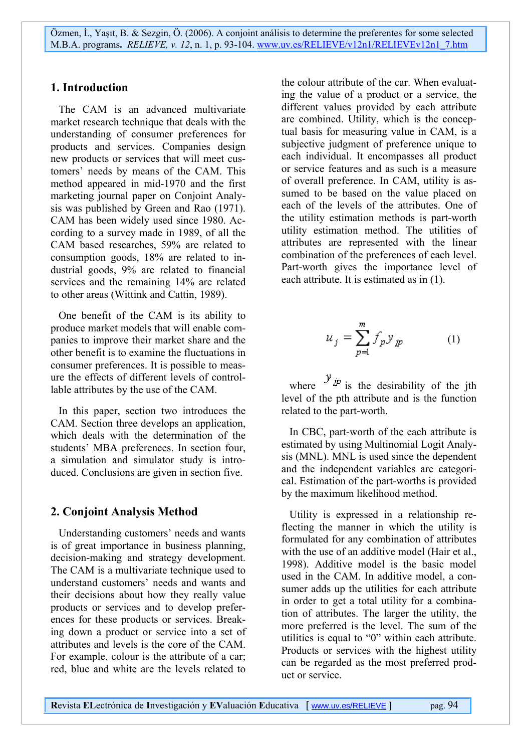#### **1. Introduction**

The CAM is an advanced multivariate market research technique that deals with the understanding of consumer preferences for products and services. Companies design new products or services that will meet customers' needs by means of the CAM. This method appeared in mid-1970 and the first marketing journal paper on Conjoint Analysis was published by Green and Rao (1971). CAM has been widely used since 1980. According to a survey made in 1989, of all the CAM based researches, 59% are related to consumption goods, 18% are related to industrial goods, 9% are related to financial services and the remaining 14% are related to other areas (Wittink and Cattin, 1989).

One benefit of the CAM is its ability to produce market models that will enable companies to improve their market share and the other benefit is to examine the fluctuations in consumer preferences. It is possible to measure the effects of different levels of controllable attributes by the use of the CAM.

In this paper, section two introduces the CAM. Section three develops an application, which deals with the determination of the students' MBA preferences. In section four, a simulation and simulator study is introduced. Conclusions are given in section five.

#### **2. Conjoint Analysis Method**

Understanding customers' needs and wants is of great importance in business planning, decision-making and strategy development. The CAM is a multivariate technique used to understand customers' needs and wants and their decisions about how they really value products or services and to develop preferences for these products or services. Breaking down a product or service into a set of attributes and levels is the core of the CAM. For example, colour is the attribute of a car; red, blue and white are the levels related to

the colour attribute of the car. When evaluating the value of a product or a service, the different values provided by each attribute are combined. Utility, which is the conceptual basis for measuring value in CAM, is a subjective judgment of preference unique to each individual. It encompasses all product or service features and as such is a measure of overall preference. In CAM, utility is assumed to be based on the value placed on each of the levels of the attributes. One of the utility estimation methods is part-worth utility estimation method. The utilities of attributes are represented with the linear combination of the preferences of each level. Part-worth gives the importance level of each attribute. It is estimated as in (1).

$$
u_j = \sum_{p=1}^{m} f_p y_{jp} \tag{1}
$$

where  $\mathcal{Y}_{ip}$  is the desirability of the jth level of the pth attribute and is the function related to the part-worth.

In CBC, part-worth of the each attribute is estimated by using Multinomial Logit Analysis (MNL). MNL is used since the dependent and the independent variables are categorical. Estimation of the part-worths is provided by the maximum likelihood method.

Utility is expressed in a relationship reflecting the manner in which the utility is formulated for any combination of attributes with the use of an additive model (Hair et al., 1998). Additive model is the basic model used in the CAM. In additive model, a consumer adds up the utilities for each attribute in order to get a total utility for a combination of attributes. The larger the utility, the more preferred is the level. The sum of the utilities is equal to "0" within each attribute. Products or services with the highest utility can be regarded as the most preferred product or service.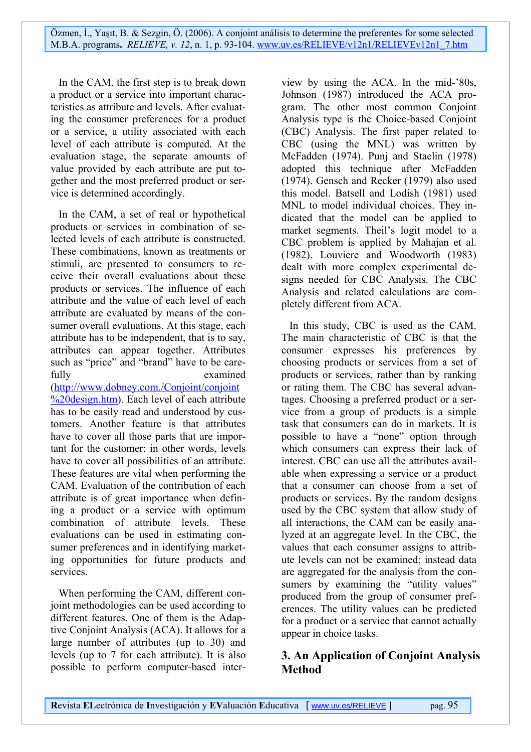In the CAM, the first step is to break down a product or a service into important characteristics as attribute and levels. After evaluating the consumer preferences for a product or a service, a utility associated with each level of each attribute is computed. At the evaluation stage, the separate amounts of value provided by each attribute are put together and the most preferred product or service is determined accordingly.

In the CAM, a set of real or hypothetical products or services in combination of selected levels of each attribute is constructed. These combinations, known as treatments or stimuli, are presented to consumers to receive their overall evaluations about these products or services. The influence of each attribute and the value of each level of each attribute are evaluated by means of the consumer overall evaluations. At this stage, each attribute has to be independent, that is to say, attributes can appear together. Attributes such as "price" and "brand" have to be carefully examined

([http://www.dobney.com./Conjoint/conjoint](http://www.dobney.com./Conjoint/conjoint%20design.htm) [%20design.htm\)](http://www.dobney.com./Conjoint/conjoint%20design.htm). Each level of each attribute has to be easily read and understood by customers. Another feature is that attributes have to cover all those parts that are important for the customer; in other words, levels have to cover all possibilities of an attribute. These features are vital when performing the CAM. Evaluation of the contribution of each attribute is of great importance when defining a product or a service with optimum combination of attribute levels. These evaluations can be used in estimating consumer preferences and in identifying marketing opportunities for future products and services.

When performing the CAM, different conjoint methodologies can be used according to different features. One of them is the Adaptive Conjoint Analysis (ACA). It allows for a large number of attributes (up to 30) and levels (up to 7 for each attribute). It is also possible to perform computer-based interview by using the ACA. In the mid-'80s, Johnson (1987) introduced the ACA program. The other most common Conjoint Analysis type is the Choice-based Conjoint (CBC) Analysis. The first paper related to CBC (using the MNL) was written by McFadden (1974). Punj and Staelin (1978) adopted this technique after McFadden (1974). Gensch and Recker (1979) also used this model. Batsell and Lodish (1981) used MNL to model individual choices. They indicated that the model can be applied to market segments. Theil's logit model to a CBC problem is applied by Mahajan et al. (1982). Louviere and Woodworth (1983) dealt with more complex experimental designs needed for CBC Analysis. The CBC Analysis and related calculations are completely different from ACA.

In this study, CBC is used as the CAM. The main characteristic of CBC is that the consumer expresses his preferences by choosing products or services from a set of products or services, rather than by ranking or rating them. The CBC has several advantages. Choosing a preferred product or a service from a group of products is a simple task that consumers can do in markets. It is possible to have a "none" option through which consumers can express their lack of interest. CBC can use all the attributes available when expressing a service or a product that a consumer can choose from a set of products or services. By the random designs used by the CBC system that allow study of all interactions, the CAM can be easily analyzed at an aggregate level. In the CBC, the values that each consumer assigns to attribute levels can not be examined; instead data are aggregated for the analysis from the consumers by examining the "utility values" produced from the group of consumer preferences. The utility values can be predicted for a product or a service that cannot actually appear in choice tasks.

### **3. An Application of Conjoint Analysis Method**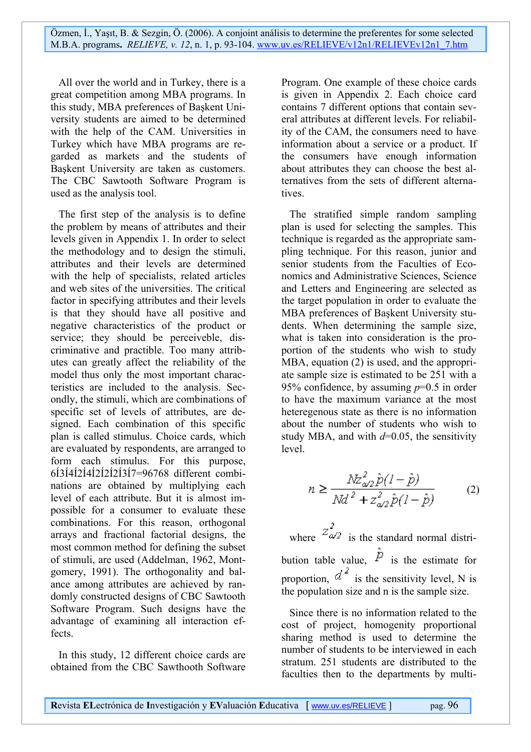All over the world and in Turkey, there is a great competition among MBA programs. In this study, MBA preferences of Başkent University students are aimed to be determined with the help of the CAM. Universities in Turkey which have MBA programs are regarded as markets and the students of Başkent University are taken as customers. The CBC Sawtooth Software Program is used as the analysis tool.

The first step of the analysis is to define the problem by means of attributes and their levels given in Appendix 1. In order to select the methodology and to design the stimuli, attributes and their levels are determined with the help of specialists, related articles and web sites of the universities. The critical factor in specifying attributes and their levels is that they should have all positive and negative characteristics of the product or service; they should be perceiveble, discriminative and practible. Too many attributes can greatly affect the reliability of the model thus only the most important characteristics are included to the analysis. Secondly, the stimuli, which are combinations of specific set of levels of attributes, are designed. Each combination of this specific plan is called stimulus. Choice cards, which are evaluated by respondents, are arranged to form each stimulus. For this purpose, 6Í3Í4Í2Í4Í2Í2Í2Í3Í7=96768 different combinations are obtained by multiplying each level of each attribute. But it is almost impossible for a consumer to evaluate these combinations. For this reason, orthogonal arrays and fractional factorial designs, the most common method for defining the subset of stimuli, are used (Addelman, 1962, Montgomery, 1991). The orthogonality and balance among attributes are achieved by randomly constructed designs of CBC Sawtooth Software Program. Such designs have the advantage of examining all interaction effects.

In this study, 12 different choice cards are obtained from the CBC Sawthooth Software Program. One example of these choice cards is given in Appendix 2. Each choice card contains 7 different options that contain several attributes at different levels. For reliability of the CAM, the consumers need to have information about a service or a product. If the consumers have enough information about attributes they can choose the best alternatives from the sets of different alterna**tives** 

The stratified simple random sampling plan is used for selecting the samples. This technique is regarded as the appropriate sampling technique. For this reason, junior and senior students from the Faculties of Economics and Administrative Sciences, Science and Letters and Engineering are selected as the target population in order to evaluate the MBA preferences of Başkent University students. When determining the sample size, what is taken into consideration is the proportion of the students who wish to study MBA, equation (2) is used, and the appropriate sample size is estimated to be 251 with a 95% confidence, by assuming *p*=0.5 in order to have the maximum variance at the most heteregenous state as there is no information about the number of students who wish to study MBA, and with  $d=0.05$ , the sensitivity level.

$$
n \ge \frac{Nz_{\alpha/2}^2 \hat{p}(l-\hat{p})}{Nd^2 + z_{\alpha/2}^2 \hat{p}(l-\hat{p})}
$$
 (2)

where  $z_{\alpha/2}^2$  is the standard normal distribution table value,  $\overrightarrow{P}$  is the estimate for proportion,  $d^2$  is the sensitivity level, N is the population size and n is the sample size.

Since there is no information related to the cost of project, homogenity proportional sharing method is used to determine the number of students to be interviewed in each stratum. 251 students are distributed to the faculties then to the departments by multi-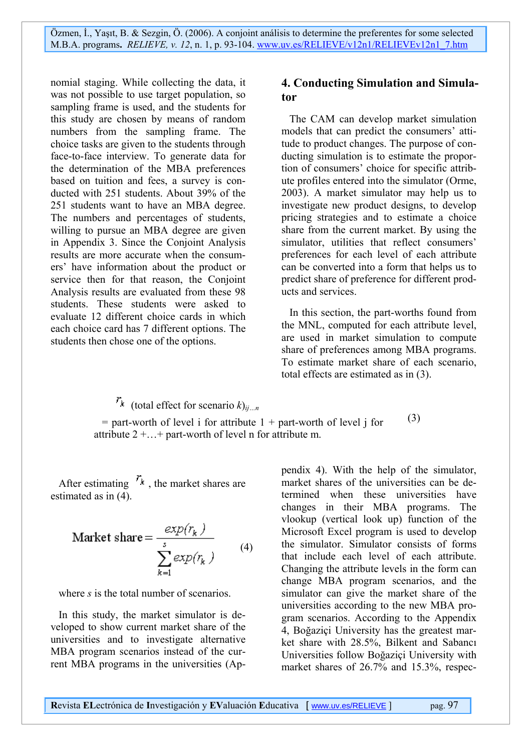nomial staging. While collecting the data, it was not possible to use target population, so sampling frame is used, and the students for this study are chosen by means of random numbers from the sampling frame. The choice tasks are given to the students through face-to-face interview. To generate data for the determination of the MBA preferences based on tuition and fees, a survey is conducted with 251 students. About 39% of the 251 students want to have an MBA degree. The numbers and percentages of students, willing to pursue an MBA degree are given in Appendix 3. Since the Conjoint Analysis results are more accurate when the consumers' have information about the product or service then for that reason, the Conjoint Analysis results are evaluated from these 98 students. These students were asked to evaluate 12 different choice cards in which each choice card has 7 different options. The students then chose one of the options.

### **4. Conducting Simulation and Simulator**

The CAM can develop market simulation models that can predict the consumers' attitude to product changes. The purpose of conducting simulation is to estimate the proportion of consumers' choice for specific attribute profiles entered into the simulator (Orme, 2003). A market simulator may help us to investigate new product designs, to develop pricing strategies and to estimate a choice share from the current market. By using the simulator, utilities that reflect consumers' preferences for each level of each attribute can be converted into a form that helps us to predict share of preference for different products and services.

In this section, the part-worths found from the MNL, computed for each attribute level, are used in market simulation to compute share of preferences among MBA programs. To estimate market share of each scenario, total effects are estimated as in (3).

 $r_{k}$  (total effect for scenario  $k)_{ii}$ <sub>n</sub>  $=$  part-worth of level i for attribute  $1 +$  part-worth of level j for attribute  $2 + ... +$  part-worth of level n for attribute m. (3)

After estimating  $r_k$ , the market shares are estimated as in (4).

Market share 
$$
=\frac{exp(r_k)}{\sum_{k=1}^{s} exp(r_k)}
$$
 (4)

where *s* is the total number of scenarios.

In this study, the market simulator is developed to show current market share of the universities and to investigate alternative MBA program scenarios instead of the current MBA programs in the universities (Appendix 4). With the help of the simulator, market shares of the universities can be determined when these universities have changes in their MBA programs. The vlookup (vertical look up) function of the Microsoft Excel program is used to develop the simulator. Simulator consists of forms that include each level of each attribute. Changing the attribute levels in the form can change MBA program scenarios, and the simulator can give the market share of the universities according to the new MBA program scenarios. According to the Appendix 4, Boğaziçi University has the greatest market share with 28.5%, Bilkent and Sabancı Universities follow Boğaziçi University with market shares of 26.7% and 15.3%, respec-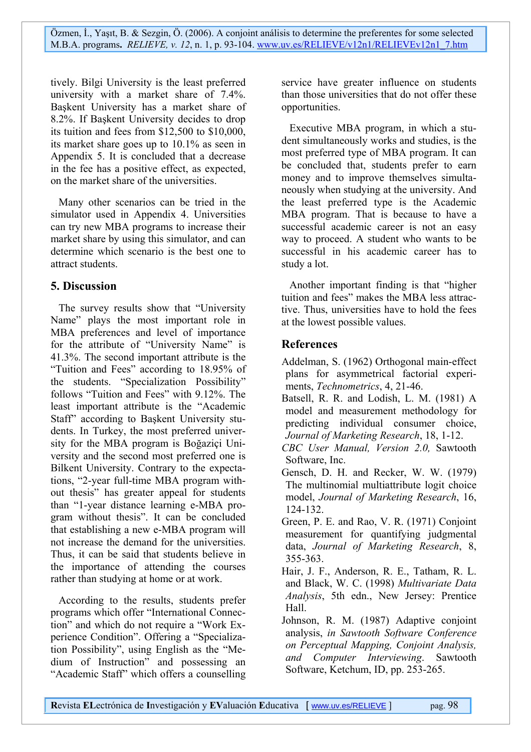tively. Bilgi University is the least preferred university with a market share of 7.4%. Başkent University has a market share of 8.2%. If Başkent University decides to drop its tuition and fees from \$12,500 to \$10,000, its market share goes up to 10.1% as seen in Appendix 5. It is concluded that a decrease in the fee has a positive effect, as expected, on the market share of the universities.

Many other scenarios can be tried in the simulator used in Appendix 4. Universities can try new MBA programs to increase their market share by using this simulator, and can determine which scenario is the best one to attract students.

### **5. Discussion**

The survey results show that "University Name" plays the most important role in MBA preferences and level of importance for the attribute of "University Name" is 41.3%. The second important attribute is the "Tuition and Fees" according to 18.95% of the students. "Specialization Possibility" follows "Tuition and Fees" with 9.12%. The least important attribute is the "Academic Staff" according to Başkent University students. In Turkey, the most preferred university for the MBA program is Boğaziçi University and the second most preferred one is Bilkent University. Contrary to the expectations, "2-year full-time MBA program without thesis" has greater appeal for students than "1-year distance learning e-MBA program without thesis". It can be concluded that establishing a new e-MBA program will not increase the demand for the universities. Thus, it can be said that students believe in the importance of attending the courses rather than studying at home or at work.

According to the results, students prefer programs which offer "International Connection" and which do not require a "Work Experience Condition". Offering a "Specialization Possibility", using English as the "Medium of Instruction" and possessing an "Academic Staff" which offers a counselling

service have greater influence on students than those universities that do not offer these opportunities.

Executive MBA program, in which a student simultaneously works and studies, is the most preferred type of MBA program. It can be concluded that, students prefer to earn money and to improve themselves simultaneously when studying at the university. And the least preferred type is the Academic MBA program. That is because to have a successful academic career is not an easy way to proceed. A student who wants to be successful in his academic career has to study a lot.

Another important finding is that "higher tuition and fees" makes the MBA less attractive. Thus, universities have to hold the fees at the lowest possible values.

### **References**

- Addelman, S. (1962) Orthogonal main-effect plans for asymmetrical factorial experiments, *Technometrics*, 4, 21-46.
- Batsell, R. R. and Lodish, L. M. (1981) A model and measurement methodology for predicting individual consumer choice, *Journal of Marketing Research*, 18, 1-12.
- *CBC User Manual, Version 2.0,* Sawtooth Software, Inc.
- Gensch, D. H. and Recker, W. W. (1979) The multinomial multiattribute logit choice model, *Journal of Marketing Research*, 16, 124-132.
- Green, P. E. and Rao, V. R. (1971) Conjoint measurement for quantifying judgmental data, *Journal of Marketing Research*, 8, 355-363.
- Hair, J. F., Anderson, R. E., Tatham, R. L. and Black, W. C. (1998) *Multivariate Data Analysis*, 5th edn., New Jersey: Prentice Hall.

Johnson, R. M. (1987) Adaptive conjoint analysis, *in Sawtooth Software Conference on Perceptual Mapping, Conjoint Analysis, and Computer Interviewing*. Sawtooth Software, Ketchum, ID, pp. 253-265.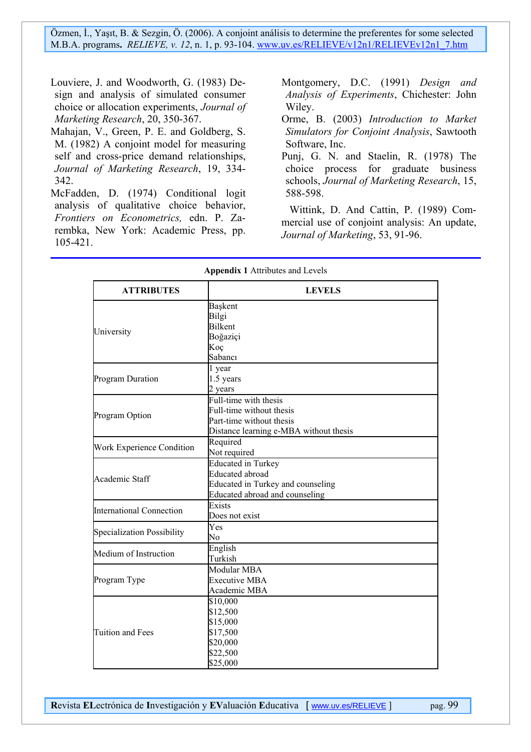Louviere, J. and Woodworth, G. (1983) Design and analysis of simulated consumer choice or allocation experiments, *Journal of Marketing Research*, 20, 350-367. Orme, B. (2003) *Introduction to Market* 

Mahajan, V., Green, P. E. and Goldberg, S. M. (1982) A conjoint model for measuring self and cross-price demand relationships, *Journal of Marketing Research*, 19, 334- 342.

McFadden, D. (1974) Conditional logit 588-598. analysis of qualitative choice behavior, *Frontiers on Econometrics,* edn. P. Zarembka, New York: Academic Press, pp. 105-421.

Montgomery, D.C. (1991) *Design and Analysis of Experiments*, Chichester: John Wiley.

*Simulators for Conjoint Analysis*, Sawtooth Software, Inc.

Punj, G. N. and Staelin, R. (1978) The choice process for graduate business schools, *Journal of Marketing Research*, 15,

Wittink, D. And Cattin, P. (1989) Commercial use of conjoint analysis: An update, *Journal of Marketing*, 53, 91-96.

| <b>LEVELS</b>                          |
|----------------------------------------|
|                                        |
| Başkent                                |
| Bilgi                                  |
| Bilkent                                |
| Boğaziçi                               |
| Koç                                    |
| Sabancı                                |
| 1 year                                 |
| 1.5 years                              |
| 2 years                                |
| Full-time with thesis                  |
| Full-time without thesis               |
| Part-time without thesis               |
| Distance learning e-MBA without thesis |
| Required                               |
| Not required                           |
| <b>Educated in Turkey</b>              |
| <b>Educated abroad</b>                 |
| Educated in Turkey and counseling      |
| Educated abroad and counseling         |
| Exists                                 |
| Does not exist                         |
| Yes                                    |
| No                                     |
| English                                |
| Turkish                                |
| Modular MBA                            |
| <b>Executive MBA</b>                   |
| Academic MBA                           |
| \$10,000                               |
| \$12,500                               |
| \$15,000                               |
| \$17,500                               |
| \$20,000                               |
| \$22,500                               |
| \$25,000                               |
|                                        |

**Appendix 1** Attributes and Levels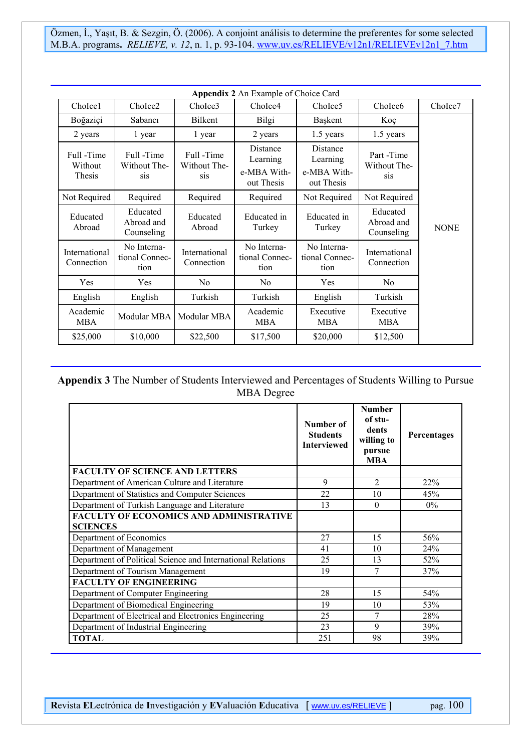|                                |                                       |                                  | Appendix 2 An Example of Choice Card              |                                                   |                                      |             |  |
|--------------------------------|---------------------------------------|----------------------------------|---------------------------------------------------|---------------------------------------------------|--------------------------------------|-------------|--|
| ChoIce1                        | ChoIce2                               | Cholce3                          | ChoIce4                                           | Cholce <sub>5</sub>                               | ChoIce6                              | ChoIce7     |  |
| Boğaziçi                       | Sabanc <sub>1</sub>                   | Bilkent                          | Bilgi                                             | Başkent                                           | Koç                                  |             |  |
| 2 years                        | 1 year                                | 1 year                           | 2 years                                           | 1.5 years                                         | $1.5$ years                          |             |  |
| Full-Time<br>Without<br>Thesis | Full-Time<br>Without The-<br>sis      | Full-Time<br>Without The-<br>sis | Distance<br>Learning<br>e-MBA With-<br>out Thesis | Distance<br>Learning<br>e-MBA With-<br>out Thesis | Part -Time<br>Without The-<br>sis    |             |  |
| Not Required                   | Required                              | Required                         | Required                                          | Not Required                                      | Not Required                         |             |  |
| Educated<br>Abroad             | Educated<br>Abroad and<br>Counseling  | Educated<br>Abroad               | Educated in<br>Turkey                             | Educated in<br>Turkey                             | Educated<br>Abroad and<br>Counseling | <b>NONE</b> |  |
| International<br>Connection    | No Interna-<br>tional Connec-<br>tion | International<br>Connection      | No Interna-<br>tional Connec-<br>tion             | No Interna-<br>tional Connec-<br>tion             | International<br>Connection          |             |  |
| Yes                            | Yes                                   | No                               | No.                                               | Yes                                               | No                                   |             |  |
| English                        | English                               | Turkish                          | Turkish                                           | English                                           | Turkish                              |             |  |
| Academic<br><b>MBA</b>         | Modular MBA                           | Modular MBA                      | Academic<br>MBA                                   | Executive<br>MBA                                  | Executive<br><b>MBA</b>              |             |  |
| \$25,000                       | \$10,000                              | \$22,500                         | \$17,500                                          | \$20,000                                          | \$12,500                             |             |  |

**Appendix 3** The Number of Students Interviewed and Percentages of Students Willing to Pursue MBA Degree

|                                                                   | Number of<br><b>Students</b><br><b>Interviewed</b> | <b>Number</b><br>of stu-<br>dents<br>willing to<br>pursue<br><b>MBA</b> | <b>Percentages</b> |
|-------------------------------------------------------------------|----------------------------------------------------|-------------------------------------------------------------------------|--------------------|
| <b>FACULTY OF SCIENCE AND LETTERS</b>                             |                                                    |                                                                         |                    |
| Department of American Culture and Literature                     | 9                                                  | $\overline{2}$                                                          | 22%                |
| Department of Statistics and Computer Sciences                    | 22                                                 | 10                                                                      | 45%                |
| Department of Turkish Language and Literature                     | 13                                                 | $\Omega$                                                                | $0\%$              |
| <b>FACULTY OF ECONOMICS AND ADMINISTRATIVE</b><br><b>SCIENCES</b> |                                                    |                                                                         |                    |
| Department of Economics                                           | 27                                                 | 15                                                                      | 56%                |
| Department of Management                                          | 41                                                 | 10                                                                      | 24%                |
| Department of Political Science and International Relations       | 25                                                 | 13                                                                      | 52%                |
| Department of Tourism Management                                  | 19                                                 | 7                                                                       | 37%                |
| <b>FACULTY OF ENGINEERING</b>                                     |                                                    |                                                                         |                    |
| Department of Computer Engineering                                | 28                                                 | 15                                                                      | 54%                |
| Department of Biomedical Engineering                              | 19                                                 | 10                                                                      | 53%                |
| Department of Electrical and Electronics Engineering              | 25                                                 | 7                                                                       | 28%                |
| Department of Industrial Engineering                              | 23                                                 | 9                                                                       | 39%                |
| <b>TOTAL</b>                                                      | 251                                                | 98                                                                      | 39%                |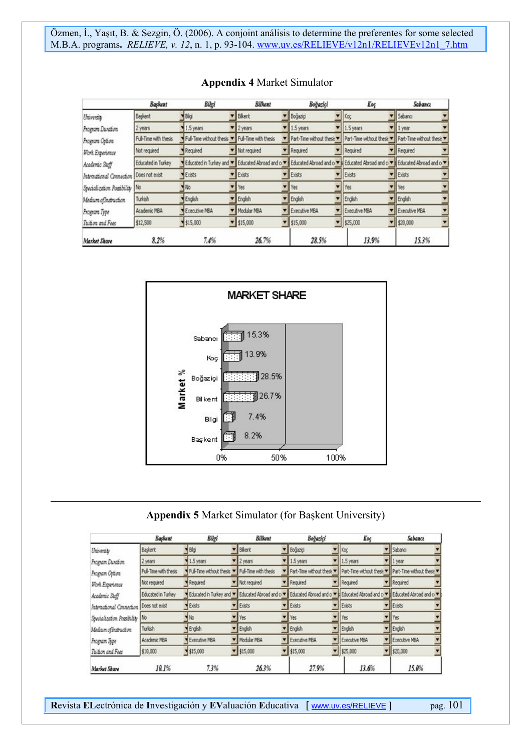|                            | Başkent               | Bilgi                                                                                                                        | Bilkent                | Boğaziçi                | Koç                                                 | Sabancz         |  |
|----------------------------|-----------------------|------------------------------------------------------------------------------------------------------------------------------|------------------------|-------------------------|-----------------------------------------------------|-----------------|--|
| University                 | <b>Baskent</b>        | Bigi                                                                                                                         | v Bikent               | V Boğaziçi              | Koc                                                 | Sabano          |  |
| Program Duration           | 2 years               | 1.5 years                                                                                                                    | 2 years                | $\mathbf{v}$ 1.5 years  | 1.5 years                                           | 1 year          |  |
| Program Option             | Full-Time with thesis | Full-Time without thesis Y Full-Time with thesis                                                                             |                        | Part-Time without these | Part-Time without these v Part-Time without these v |                 |  |
| Work Experience            | Not required          | Required                                                                                                                     | V Not required         | Required                | Required                                            | Required        |  |
| Academic Staff             | Educated in Turkey    | Educated in Turkey and * Educated Abroad and o * EEducated Abroad and o * B Educated Abroad and o * EEducated Abroad and o * |                        |                         |                                                     |                 |  |
| International Connection   | Does not exist        | <b>Exists</b>                                                                                                                | <b>v</b> Exists        | <b>v</b> Exists         | <b>Exists</b>                                       | <b>v</b> Exists |  |
| Specialization Possibility | 1No                   | Wo.                                                                                                                          | Yes                    | v Yes                   | Yes                                                 | Yes             |  |
| Medium of Instruction      | Turkish               | English                                                                                                                      | Finglish               | <b>v</b> English        | English                                             | English         |  |
| Program Type               | Academic MBA          | Executive MBA                                                                                                                | V Modular MBA          | Executive MBA           | Executive MBA                                       | Executive MBA   |  |
| Tuition and Fees           | \$12,500              | $\frac{4}{515,000}$                                                                                                          | $\frac{1}{2}$ \$15,000 | $\mathbf{v}$ \$15,000   | $\frac{1}{2}$ \$25,000                              | $- 120,000$     |  |
| Market Share               | 8.2%                  | 7.4%                                                                                                                         | 26.7%                  | 28.5%                   | 13.9%                                               | 15.3%           |  |

#### **Appendix 4** Market Simulator



#### **Appendix 5** Market Simulator (for Başkent University)

|                            | <b>Baskent</b>        | Bilgi                                                                                                                        | Bilkent                | Boğaziçi                  | Κος                    | Sabancz                                             |  |
|----------------------------|-----------------------|------------------------------------------------------------------------------------------------------------------------------|------------------------|---------------------------|------------------------|-----------------------------------------------------|--|
| University                 | <b>Baskent</b>        | Bigi                                                                                                                         | Bikent                 | <b>V</b> Boğaziçi         | Kας                    | Sabang                                              |  |
| Program Duration           | 2 years               | 1.5 years                                                                                                                    | 2 years                | $\mathbf{v}$ 1.5 years    | 1.5 years              | 1 year                                              |  |
| Program Option             | Full-Time with thesis | Ful-Time without thesis <b>v</b> Ful-Time with thesis                                                                        |                        | Part-Time without these v |                        | Part-Time without these v Part-Time without these v |  |
| Work Experience            | Not required          | Required                                                                                                                     | v Not required         | Required                  | Required               | Required                                            |  |
| Academic Staff             | Educated in Turkey    | Educated in Turkey and W Educated Abroad and o W Educated Abroad and o W B Educated Abroad and o W B Educated Abroad and o W |                        |                           |                        |                                                     |  |
| International Connection   | Does not exist        | Exists                                                                                                                       | <b>v</b> Erists        | <b>v</b> Erists           | Exists                 | <b>v</b> Exists                                     |  |
| Specialization Possibility | <b>INo</b>            | No                                                                                                                           | <b>Yes</b>             | Ves                       | Yes                    | Yes                                                 |  |
| Medium of Instruction      | Turkish               | English                                                                                                                      | English                | Finglish                  | English                | English                                             |  |
| Program Type               | Academic MBA          | Executive MBA                                                                                                                | Modular MBA            | Executive MBA             | Executive MBA          | Executive MBA                                       |  |
| Tuition and Fees           | \$10,000              | $\frac{1}{2}$ \$15,000                                                                                                       | $\frac{1}{2}$ \$15,000 | $\mathbf{v}$ \$15,000     | $\frac{1}{2}$ \$25,000 | $= 1520,000$                                        |  |
| Market Share               | 10.1%                 | 7.3%                                                                                                                         | 26.3%                  | 27.9%                     | 13.6%                  | 15.0%                                               |  |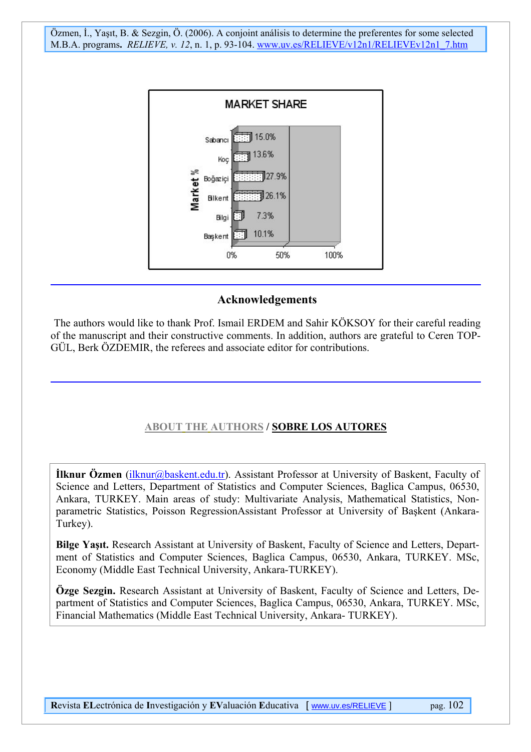<span id="page-9-0"></span>

### **Acknowledgements**

 The authors would like to thank Prof. Ismail ERDEM and Sahir KÖKSOY for their careful reading of the manuscript and their constructive comments. In addition, authors are grateful to Ceren TOP-GÜL, Berk ÖZDEMIR, the referees and associate editor for contributions.

### **ABOUT THE AUTHORS / SOBRE LOS AUTORES**

**İlknur Özmen** ([ilknur@baskent.edu.tr\)](mailto:ilknur@baskent.edu.tr). Assistant Professor at University of Baskent, Faculty of Science and Letters, Department of Statistics and Computer Sciences, Baglica Campus, 06530, Ankara, TURKEY. Main areas of study: Multivariate Analysis, Mathematical Statistics, Nonparametric Statistics, Poisson RegressionAssistant Professor at University of Başkent (Ankara-Turkey).

**Bilge Yaşıt.** Research Assistant at University of Baskent, Faculty of Science and Letters, Department of Statistics and Computer Sciences, Baglica Campus, 06530, Ankara, TURKEY. MSc, Economy (Middle East Technical University, Ankara-TURKEY).

**Özge Sezgin.** Research Assistant at University of Baskent, Faculty of Science and Letters, Department of Statistics and Computer Sciences, Baglica Campus, 06530, Ankara, TURKEY. MSc, Financial Mathematics (Middle East Technical University, Ankara- TURKEY).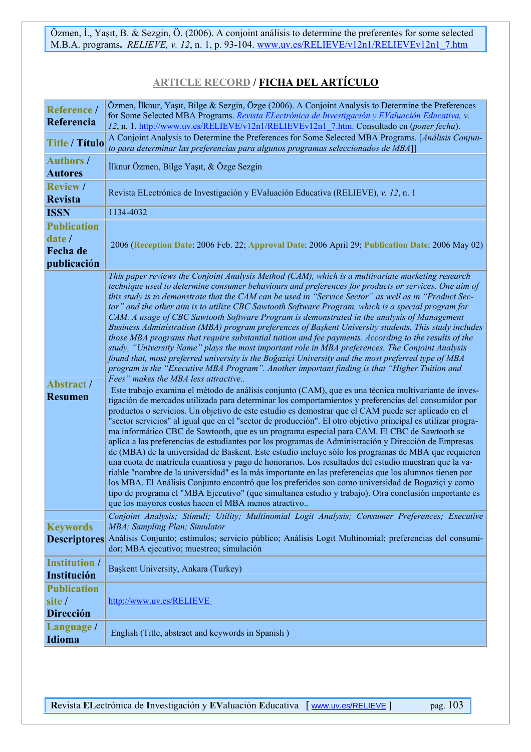# **ARTICLE RECORD / FICHA DEL ARTÍCULO**

<span id="page-10-0"></span>

| Reference /<br>Referencia                                      | Özmen, İlknur, Yaşıt, Bilge & Sezgin, Özge (2006). A Conjoint Analysis to Determine the Preferences<br>for Some Selected MBA Programs. Revista ELectrónica de Investigación y EValuación Educativa, v.                                                                                                                                                                                                                                                                                                                                                                                                                                                                                                                                                                                                                                                                                                                                                                                                                                                                                                                                                                                                                                                                                                                                                                                                                                                                                                                                                                                                                                                                                                                                                                                                                                                                                                                                                                                                                                                                                                                                                                                                                                                                                                                                    |
|----------------------------------------------------------------|-------------------------------------------------------------------------------------------------------------------------------------------------------------------------------------------------------------------------------------------------------------------------------------------------------------------------------------------------------------------------------------------------------------------------------------------------------------------------------------------------------------------------------------------------------------------------------------------------------------------------------------------------------------------------------------------------------------------------------------------------------------------------------------------------------------------------------------------------------------------------------------------------------------------------------------------------------------------------------------------------------------------------------------------------------------------------------------------------------------------------------------------------------------------------------------------------------------------------------------------------------------------------------------------------------------------------------------------------------------------------------------------------------------------------------------------------------------------------------------------------------------------------------------------------------------------------------------------------------------------------------------------------------------------------------------------------------------------------------------------------------------------------------------------------------------------------------------------------------------------------------------------------------------------------------------------------------------------------------------------------------------------------------------------------------------------------------------------------------------------------------------------------------------------------------------------------------------------------------------------------------------------------------------------------------------------------------------------|
| <b>Title / Título</b>                                          | 12, n. 1. http://www.uv.es/RELIEVE/v12n1/RELIEVEv12n1_7.htm. Consultado en (poner fecha).<br>A Conjoint Analysis to Determine the Preferences for Some Selected MBA Programs. [Análisis Conjun-<br>to para determinar las preferencias para algunos programas seleccionados de MBA]]                                                                                                                                                                                                                                                                                                                                                                                                                                                                                                                                                                                                                                                                                                                                                                                                                                                                                                                                                                                                                                                                                                                                                                                                                                                                                                                                                                                                                                                                                                                                                                                                                                                                                                                                                                                                                                                                                                                                                                                                                                                      |
| <b>Authors /</b><br><b>Autores</b>                             | İlknur Özmen, Bilge Yaşıt, & Özge Sezgin                                                                                                                                                                                                                                                                                                                                                                                                                                                                                                                                                                                                                                                                                                                                                                                                                                                                                                                                                                                                                                                                                                                                                                                                                                                                                                                                                                                                                                                                                                                                                                                                                                                                                                                                                                                                                                                                                                                                                                                                                                                                                                                                                                                                                                                                                                  |
| <b>Review</b> /<br><b>Revista</b>                              | Revista ELectrónica de Investigación y EValuación Educativa (RELIEVE), v. 12, n. 1                                                                                                                                                                                                                                                                                                                                                                                                                                                                                                                                                                                                                                                                                                                                                                                                                                                                                                                                                                                                                                                                                                                                                                                                                                                                                                                                                                                                                                                                                                                                                                                                                                                                                                                                                                                                                                                                                                                                                                                                                                                                                                                                                                                                                                                        |
| <b>ISSN</b>                                                    | 1134-4032                                                                                                                                                                                                                                                                                                                                                                                                                                                                                                                                                                                                                                                                                                                                                                                                                                                                                                                                                                                                                                                                                                                                                                                                                                                                                                                                                                                                                                                                                                                                                                                                                                                                                                                                                                                                                                                                                                                                                                                                                                                                                                                                                                                                                                                                                                                                 |
| <b>Publication</b><br>date /<br><b>Fecha</b> de<br>publicación | 2006 (Reception Date: 2006 Feb. 22; Approval Date: 2006 April 29; Publication Date: 2006 May 02)                                                                                                                                                                                                                                                                                                                                                                                                                                                                                                                                                                                                                                                                                                                                                                                                                                                                                                                                                                                                                                                                                                                                                                                                                                                                                                                                                                                                                                                                                                                                                                                                                                                                                                                                                                                                                                                                                                                                                                                                                                                                                                                                                                                                                                          |
| <b>Abstract /</b><br><b>Resumen</b>                            | This paper reviews the Conjoint Analysis Method (CAM), which is a multivariate marketing research<br>technique used to determine consumer behaviours and preferences for products or services. One aim of<br>this study is to demonstrate that the CAM can be used in "Service Sector" as well as in "Product Sec-<br>tor" and the other aim is to utilize CBC Sawtooth Software Program, which is a special program for<br>CAM. A usage of CBC Sawtooth Software Program is demonstrated in the analysis of Management<br>Business Administration (MBA) program preferences of Başkent University students. This study includes<br>those MBA programs that require substantial tuition and fee payments. According to the results of the<br>study, "University Name" plays the most important role in MBA preferences. The Conjoint Analysis<br>found that, most preferred university is the Boğaziçi University and the most preferred type of MBA<br>program is the "Executive MBA Program". Another important finding is that "Higher Tuition and<br>Fees" makes the MBA less attractive<br>Este trabajo examina el método de análisis conjunto (CAM), que es una técnica multivariante de inves-<br>tigación de mercados utilizada para determinar los comportamientos y preferencias del consumidor por<br>productos o servicios. Un objetivo de este estudio es demostrar que el CAM puede ser aplicado en el<br>"sector servicios" al igual que en el "sector de producción". El otro objetivo principal es utilizar progra-<br>ma informático CBC de Sawtooth, que es un programa especial para CAM. El CBC de Sawtooth se<br>aplica a las preferencias de estudiantes por los programas de Administración y Dirección de Empresas<br>de (MBA) de la universidad de Baskent. Este estudio incluye sólo los programas de MBA que requieren<br>una cuota de matrícula cuantiosa y pago de honorarios. Los resultados del estudio muestran que la va-<br>riable "nombre de la universidad" es la más importante en las preferencias que los alumnos tienen por<br>los MBA. El Análisis Conjunto encontró que los preferidos son como universidad de Bogaziçi y como<br>tipo de programa el "MBA Ejecutivo" (que simultanea estudio y trabajo). Otra conclusión importante es<br>que los mayores costes hacen el MBA menos atractivo |
| <b>Keywords</b><br><b>Descriptores</b>                         | Conjoint Analysis; Stimuli; Utility; Multinomial Logit Analysis; Consumer Preferences; Executive<br>MBA; Sampling Plan; Simulator<br>Análisis Conjunto; estímulos; servicio público; Análisis Logit Multinomial; preferencias del consumi-<br>dor; MBA ejecutivo; muestreo; simulación                                                                                                                                                                                                                                                                                                                                                                                                                                                                                                                                                                                                                                                                                                                                                                                                                                                                                                                                                                                                                                                                                                                                                                                                                                                                                                                                                                                                                                                                                                                                                                                                                                                                                                                                                                                                                                                                                                                                                                                                                                                    |
| <b>Institution /</b><br>Institución                            | Başkent University, Ankara (Turkey)                                                                                                                                                                                                                                                                                                                                                                                                                                                                                                                                                                                                                                                                                                                                                                                                                                                                                                                                                                                                                                                                                                                                                                                                                                                                                                                                                                                                                                                                                                                                                                                                                                                                                                                                                                                                                                                                                                                                                                                                                                                                                                                                                                                                                                                                                                       |
| <b>Publication</b><br>site /<br><b>Dirección</b>               | http://www.uv.es/RELIEVE                                                                                                                                                                                                                                                                                                                                                                                                                                                                                                                                                                                                                                                                                                                                                                                                                                                                                                                                                                                                                                                                                                                                                                                                                                                                                                                                                                                                                                                                                                                                                                                                                                                                                                                                                                                                                                                                                                                                                                                                                                                                                                                                                                                                                                                                                                                  |
| Language /<br><b>Idioma</b>                                    | English (Title, abstract and keywords in Spanish)                                                                                                                                                                                                                                                                                                                                                                                                                                                                                                                                                                                                                                                                                                                                                                                                                                                                                                                                                                                                                                                                                                                                                                                                                                                                                                                                                                                                                                                                                                                                                                                                                                                                                                                                                                                                                                                                                                                                                                                                                                                                                                                                                                                                                                                                                         |